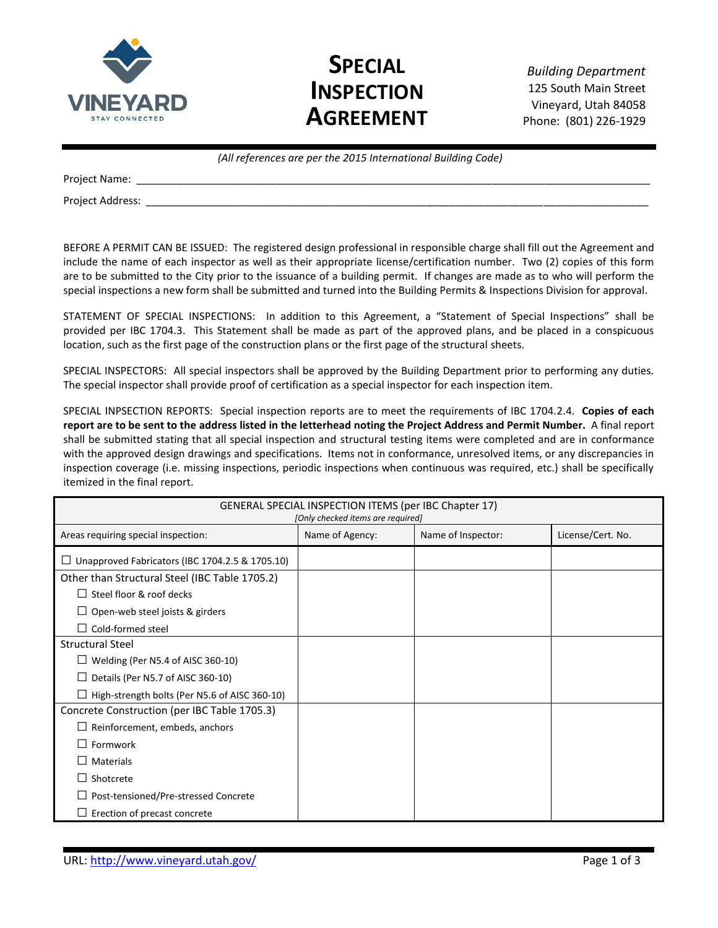

# **SPECIAL INSPECTION AGREEMENT**

*Building Department* 125 South Main Street Vineyard, Utah 84058 Phone: (801) 226-1929

|                  | (All references are per the 2015 International Building Code) |
|------------------|---------------------------------------------------------------|
| Project Name:    |                                                               |
| Project Address: |                                                               |

BEFORE A PERMIT CAN BE ISSUED: The registered design professional in responsible charge shall fill out the Agreement and include the name of each inspector as well as their appropriate license/certification number. Two (2) copies of this form are to be submitted to the City prior to the issuance of a building permit. If changes are made as to who will perform the special inspections a new form shall be submitted and turned into the Building Permits & Inspections Division for approval.

STATEMENT OF SPECIAL INSPECTIONS: In addition to this Agreement, a "Statement of Special Inspections" shall be provided per IBC 1704.3. This Statement shall be made as part of the approved plans, and be placed in a conspicuous location, such as the first page of the construction plans or the first page of the structural sheets.

SPECIAL INSPECTORS: All special inspectors shall be approved by the Building Department prior to performing any duties. The special inspector shall provide proof of certification as a special inspector for each inspection item.

SPECIAL INPSECTION REPORTS: Special inspection reports are to meet the requirements of IBC 1704.2.4. **Copies of each report are to be sent to the address listed in the letterhead noting the Project Address and Permit Number.** A final report shall be submitted stating that all special inspection and structural testing items were completed and are in conformance with the approved design drawings and specifications. Items not in conformance, unresolved items, or any discrepancies in inspection coverage (i.e. missing inspections, periodic inspections when continuous was required, etc.) shall be specifically itemized in the final report.

| <b>GENERAL SPECIAL INSPECTION ITEMS (per IBC Chapter 17)</b><br>[Only checked items are required] |                 |                    |                   |  |
|---------------------------------------------------------------------------------------------------|-----------------|--------------------|-------------------|--|
| Areas requiring special inspection:                                                               | Name of Agency: | Name of Inspector: | License/Cert. No. |  |
| Unapproved Fabricators (IBC 1704.2.5 & 1705.10)                                                   |                 |                    |                   |  |
| Other than Structural Steel (IBC Table 1705.2)                                                    |                 |                    |                   |  |
| Steel floor & roof decks                                                                          |                 |                    |                   |  |
| Open-web steel joists & girders                                                                   |                 |                    |                   |  |
| Cold-formed steel                                                                                 |                 |                    |                   |  |
| <b>Structural Steel</b>                                                                           |                 |                    |                   |  |
| Welding (Per N5.4 of AISC 360-10)                                                                 |                 |                    |                   |  |
| Details (Per N5.7 of AISC 360-10)                                                                 |                 |                    |                   |  |
| High-strength bolts (Per N5.6 of AISC 360-10)                                                     |                 |                    |                   |  |
| Concrete Construction (per IBC Table 1705.3)                                                      |                 |                    |                   |  |
| Reinforcement, embeds, anchors                                                                    |                 |                    |                   |  |
| Formwork                                                                                          |                 |                    |                   |  |
| Materials                                                                                         |                 |                    |                   |  |
| Shotcrete                                                                                         |                 |                    |                   |  |
| Post-tensioned/Pre-stressed Concrete                                                              |                 |                    |                   |  |
| Erection of precast concrete                                                                      |                 |                    |                   |  |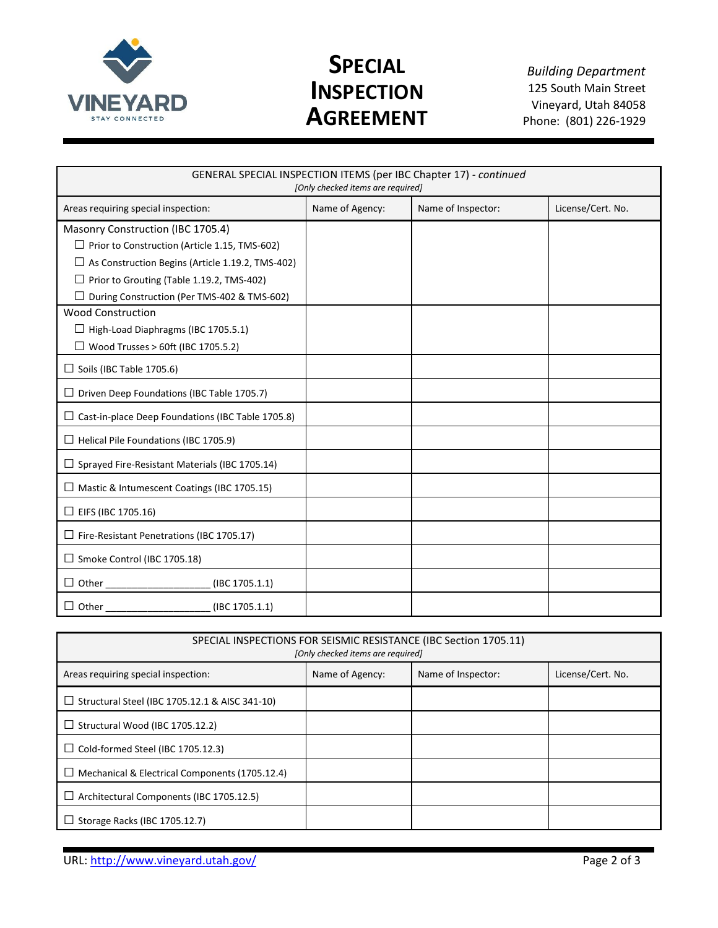

# **SPECIAL INSPECTION AGREEMENT**

*Building Department* 125 South Main Street Vineyard, Utah 84058 Phone: (801) 226-1929

| GENERAL SPECIAL INSPECTION ITEMS (per IBC Chapter 17) - continued |                 |                    |                   |  |  |
|-------------------------------------------------------------------|-----------------|--------------------|-------------------|--|--|
| [Only checked items are required]                                 |                 |                    |                   |  |  |
| Areas requiring special inspection:                               | Name of Agency: | Name of Inspector: | License/Cert. No. |  |  |
| Masonry Construction (IBC 1705.4)                                 |                 |                    |                   |  |  |
| $\Box$ Prior to Construction (Article 1.15, TMS-602)              |                 |                    |                   |  |  |
| $\Box$ As Construction Begins (Article 1.19.2, TMS-402)           |                 |                    |                   |  |  |
| Prior to Grouting (Table 1.19.2, TMS-402)                         |                 |                    |                   |  |  |
| During Construction (Per TMS-402 & TMS-602)                       |                 |                    |                   |  |  |
| <b>Wood Construction</b>                                          |                 |                    |                   |  |  |
| $\Box$ High-Load Diaphragms (IBC 1705.5.1)                        |                 |                    |                   |  |  |
| $\Box$ Wood Trusses > 60ft (IBC 1705.5.2)                         |                 |                    |                   |  |  |
| Soils (IBC Table 1705.6)                                          |                 |                    |                   |  |  |
| Driven Deep Foundations (IBC Table 1705.7)                        |                 |                    |                   |  |  |
| Cast-in-place Deep Foundations (IBC Table 1705.8)                 |                 |                    |                   |  |  |
| Helical Pile Foundations (IBC 1705.9)                             |                 |                    |                   |  |  |
| Sprayed Fire-Resistant Materials (IBC 1705.14)                    |                 |                    |                   |  |  |
| Mastic & Intumescent Coatings (IBC 1705.15)                       |                 |                    |                   |  |  |
| $\Box$ EIFS (IBC 1705.16)                                         |                 |                    |                   |  |  |
| Fire-Resistant Penetrations (IBC 1705.17)                         |                 |                    |                   |  |  |
| $\Box$ Smoke Control (IBC 1705.18)                                |                 |                    |                   |  |  |
| (IBC 1705.1.1)<br>$\exists$ Other $\_$                            |                 |                    |                   |  |  |
| (IBC 1705.1.1)<br>Other                                           |                 |                    |                   |  |  |

| SPECIAL INSPECTIONS FOR SEISMIC RESISTANCE (IBC Section 1705.11)<br>[Only checked items are required] |                 |                    |                   |  |
|-------------------------------------------------------------------------------------------------------|-----------------|--------------------|-------------------|--|
| Areas requiring special inspection:                                                                   | Name of Agency: | Name of Inspector: | License/Cert. No. |  |
| Structural Steel (IBC 1705.12.1 & AISC 341-10)<br>⊔                                                   |                 |                    |                   |  |
| $\Box$ Structural Wood (IBC 1705.12.2)                                                                |                 |                    |                   |  |
| Cold-formed Steel (IBC 1705.12.3)<br>⊔                                                                |                 |                    |                   |  |
| Mechanical & Electrical Components (1705.12.4)                                                        |                 |                    |                   |  |
| Architectural Components (IBC 1705.12.5)                                                              |                 |                    |                   |  |
| Storage Racks (IBC 1705.12.7)                                                                         |                 |                    |                   |  |

URL:<http://www.vineyard.utah.gov/> Page 2 of 3